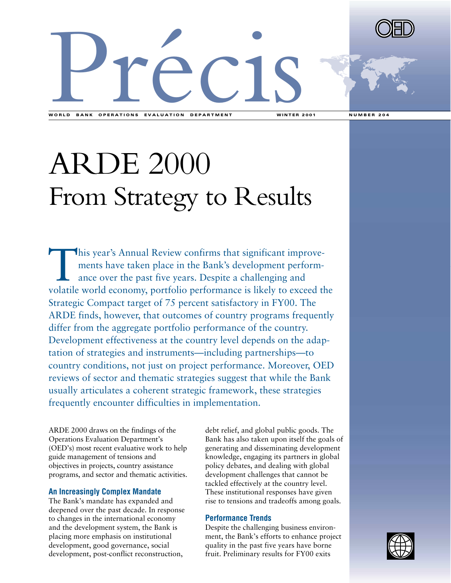



WORLD BANK OPERATIONS EVALUATION DEPARTMENT WINTER 2001 NUMBER 204

# ARDE 2000 From Strategy to Results

This year's Annual Review confirms that significant improve-<br>ments have taken place in the Bank's development perform-<br>ance over the past five years. Despite a challenging and<br>volatile world economy, portfolio performance ments have taken place in the Bank's development performance over the past five years. Despite a challenging and volatile world economy, portfolio performance is likely to exceed the Strategic Compact target of 75 percent satisfactory in FY00. The ARDE finds, however, that outcomes of country programs frequently differ from the aggregate portfolio performance of the country. Development effectiveness at the country level depends on the adaptation of strategies and instruments—including partnerships—to country conditions, not just on project performance. Moreover, OED reviews of sector and thematic strategies suggest that while the Bank usually articulates a coherent strategic framework, these strategies frequently encounter difficulties in implementation.

ARDE 2000 draws on the findings of the Operations Evaluation Department's (OED's) most recent evaluative work to help guide management of tensions and objectives in projects, country assistance programs, and sector and thematic activities.

#### **An Increasingly Complex Mandate**

The Bank's mandate has expanded and deepened over the past decade. In response to changes in the international economy and the development system, the Bank is placing more emphasis on institutional development, good governance, social development, post-conflict reconstruction,

debt relief, and global public goods. The Bank has also taken upon itself the goals of generating and disseminating development knowledge, engaging its partners in global policy debates, and dealing with global development challenges that cannot be tackled effectively at the country level. These institutional responses have given rise to tensions and tradeoffs among goals.

## **Performance Trends**

Despite the challenging business environment, the Bank's efforts to enhance project quality in the past five years have borne fruit. Preliminary results for FY00 exits

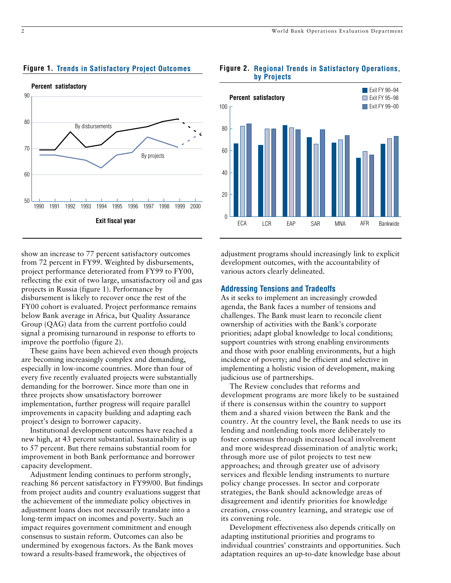



#### **Regional Trends in Satisfactory Operations, Figure 2.by Projects**



show an increase to 77 percent satisfactory outcomes from 72 percent in FY99. Weighted by disbursements, project performance deteriorated from FY99 to FY00, reflecting the exit of two large, unsatisfactory oil and gas projects in Russia (figure 1). Performance by disbursement is likely to recover once the rest of the FY00 cohort is evaluated. Project performance remains below Bank average in Africa, but Quality Assurance Group (QAG) data from the current portfolio could signal a promising turnaround in response to efforts to improve the portfolio (figure 2).

These gains have been achieved even though projects are becoming increasingly complex and demanding, especially in low-income countries. More than four of every five recently evaluated projects were substantially demanding for the borrower. Since more than one in three projects show unsatisfactory borrower implementation, further progress will require parallel improvements in capacity building and adapting each project's design to borrower capacity.

Institutional development outcomes have reached a new high, at 43 percent substantial. Sustainability is up to 57 percent. But there remains substantial room for improvement in both Bank performance and borrower capacity development.

Adjustment lending continues to perform strongly, reaching 86 percent satisfactory in FY99/00. But findings from project audits and country evaluations suggest that the achievement of the immediate policy objectives in adjustment loans does not necessarily translate into a long-term impact on incomes and poverty. Such an impact requires government commitment and enough consensus to sustain reform. Outcomes can also be undermined by exogenous factors. As the Bank moves toward a results-based framework, the objectives of

adjustment programs should increasingly link to explicit development outcomes, with the accountability of various actors clearly delineated.

## **Addressing Tensions and Tradeoffs**

As it seeks to implement an increasingly crowded agenda, the Bank faces a number of tensions and challenges. The Bank must learn to reconcile client ownership of activities with the Bank's corporate priorities; adapt global knowledge to local conditions; support countries with strong enabling environments and those with poor enabling environments, but a high incidence of poverty; and be efficient and selective in implementing a holistic vision of development, making judicious use of partnerships.

The Review concludes that reforms and development programs are more likely to be sustained if there is consensus within the country to support them and a shared vision between the Bank and the country. At the country level, the Bank needs to use its lending and nonlending tools more deliberately to foster consensus through increased local involvement and more widespread dissemination of analytic work; through more use of pilot projects to test new approaches; and through greater use of advisory services and flexible lending instruments to nurture policy change processes. In sector and corporate strategies, the Bank should acknowledge areas of disagreement and identify priorities for knowledge creation, cross-country learning, and strategic use of its convening role.

Development effectiveness also depends critically on adapting institutional priorities and programs to individual countries' constraints and opportunities. Such adaptation requires an up-to-date knowledge base about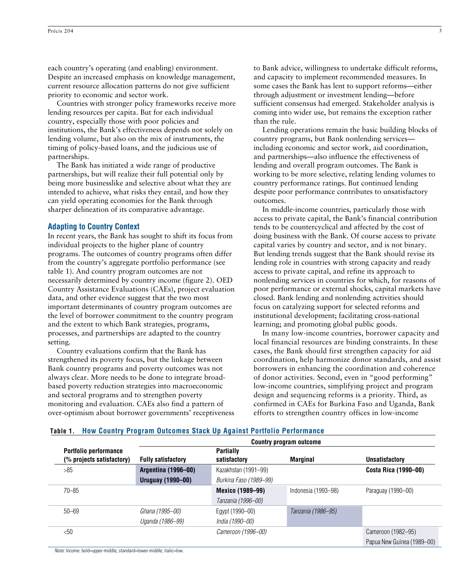each country's operating (and enabling) environment. Despite an increased emphasis on knowledge management, current resource allocation patterns do not give sufficient priority to economic and sector work.

Countries with stronger policy frameworks receive more lending resources per capita. But for each individual country, especially those with poor policies and institutions, the Bank's effectiveness depends not solely on lending volume, but also on the mix of instruments, the timing of policy-based loans, and the judicious use of partnerships.

The Bank has initiated a wide range of productive partnerships, but will realize their full potential only by being more businesslike and selective about what they are intended to achieve, what risks they entail, and how they can yield operating economies for the Bank through sharper delineation of its comparative advantage.

#### **Adapting to Country Context**

In recent years, the Bank has sought to shift its focus from individual projects to the higher plane of country programs. The outcomes of country programs often differ from the country's aggregate portfolio performance (see table 1). And country program outcomes are not necessarily determined by country income (figure 2). OED Country Assistance Evaluations (CAEs), project evaluation data, and other evidence suggest that the two most important determinants of country program outcomes are the level of borrower commitment to the country program and the extent to which Bank strategies, programs, processes, and partnerships are adapted to the country setting.

Country evaluations confirm that the Bank has strengthened its poverty focus, but the linkage between Bank country programs and poverty outcomes was not always clear. More needs to be done to integrate broadbased poverty reduction strategies into macroeconomic and sectoral programs and to strengthen poverty monitoring and evaluation. CAEs also find a pattern of over-optimism about borrower governments' receptiveness to Bank advice, willingness to undertake difficult reforms, and capacity to implement recommended measures. In some cases the Bank has lent to support reforms—either through adjustment or investment lending—before sufficient consensus had emerged. Stakeholder analysis is coming into wider use, but remains the exception rather than the rule.

Lending operations remain the basic building blocks of country programs, but Bank nonlending services including economic and sector work, aid coordination, and partnerships—also influence the effectiveness of lending and overall program outcomes. The Bank is working to be more selective, relating lending volumes to country performance ratings. But continued lending despite poor performance contributes to unsatisfactory outcomes.

In middle-income countries, particularly those with access to private capital, the Bank's financial contribution tends to be countercyclical and affected by the cost of doing business with the Bank. Of course access to private capital varies by country and sector, and is not binary. But lending trends suggest that the Bank should revise its lending role in countries with strong capacity and ready access to private capital, and refine its approach to nonlending services in countries for which, for reasons of poor performance or external shocks, capital markets have closed. Bank lending and nonlending activities should focus on catalyzing support for selected reforms and institutional development; facilitating cross-national learning; and promoting global public goods.

In many low-income countries, borrower capacity and local financial resources are binding constraints. In these cases, the Bank should first strengthen capacity for aid coordination, help harmonize donor standards, and assist borrowers in enhancing the coordination and coherence of donor activities. Second, even in "good performing" low-income countries, simplifying project and program design and sequencing reforms is a priority. Third, as confirmed in CAEs for Burkina Faso and Uganda, Bank efforts to strengthen country offices in low-income

|                           | Country program outcome   |                         |                     |                            |
|---------------------------|---------------------------|-------------------------|---------------------|----------------------------|
| Portfolio performance     |                           | <b>Partially</b>        |                     |                            |
| (% projects satisfactory) | <b>Fully satisfactory</b> | satisfactory            | <b>Marginal</b>     | <b>Unsatisfactory</b>      |
| >85                       | Argentina (1996-00)       | Kazakhstan (1991-99)    |                     | Costa Rica (1990-00)       |
|                           | <b>Uruguay (1990-00)</b>  | Burkina Faso (1989–99)  |                     |                            |
| $70 - 85$                 |                           | <b>Mexico (1989-99)</b> | Indonesia (1993–98) | Paraguay (1990-00)         |
|                           |                           | Tanzania (1996–00)      |                     |                            |
| $50 - 69$                 | Ghana (1995–00)           | Egypt (1990–00)         | Tanzania (1986–95)  |                            |
|                           | Uganda (1986–99)          | India (1990–00)         |                     |                            |
| $<$ 50                    |                           | Cameroon (1996–00)      |                     | Cameroon (1982–95)         |
|                           |                           |                         |                     | Papua New Guinea (1989-00) |

#### **Table 1. How Country Program Outcomes Stack Up Against Portfolio Performance**

*Note:* Income: bold=upper-middle; standard=lower-middle; italic=low.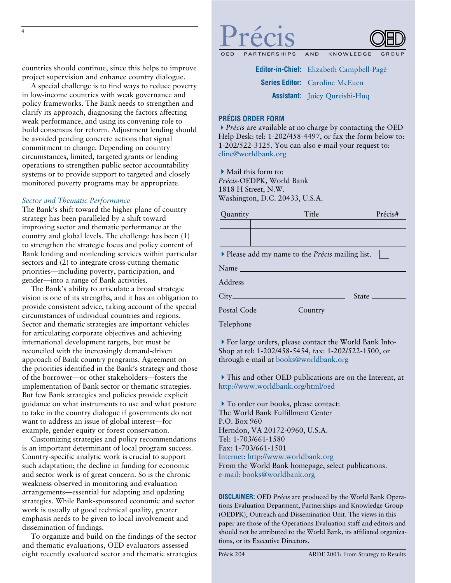countries should continue, since this helps to improve project supervision and enhance country dialogue.

A special challenge is to find ways to reduce poverty in low-income countries with weak governance and policy frameworks. The Bank needs to strengthen and clarify its approach, diagnosing the factors affecting weak performance, and using its convening role to build consensus for reform. Adjustment lending should be avoided pending concrete actions that signal commitment to change. Depending on country circumstances, limited, targeted grants or lending operations to strengthen public sector accountability systems or to provide support to targeted and closely monitored poverty programs may be appropriate.

#### *Sector and Thematic Performance*

The Bank's shift toward the higher plane of country strategy has been paralleled by a shift toward improving sector and thematic performance at the country and global levels. The challenge has been (1) to strengthen the strategic focus and policy content of Bank lending and nonlending services within particular sectors and (2) to integrate cross-cutting thematic priorities—including poverty, participation, and gender—into a range of Bank activities.

The Bank's ability to articulate a broad strategic vision is one of its strengths, and it has an obligation to provide consistent advice, taking account of the special circumstances of individual countries and regions. Sector and thematic strategies are important vehicles for articulating corporate objectives and achieving international development targets, but must be reconciled with the increasingly demand-driven approach of Bank country programs. Agreement on the priorities identified in the Bank's strategy and those of the borrower—or other stakeholders—fosters the implementation of Bank sector or thematic strategies. But few Bank strategies and policies provide explicit guidance on what instruments to use and what posture to take in the country dialogue if governments do not want to address an issue of global interest—for example, gender equity or forest conservation.

Customizing strategies and policy recommendations is an important determinant of local program success. Country-specific analytic work is crucial to support such adaptation; the decline in funding for economic and sector work is of great concern. So is the chronic weakness observed in monitoring and evaluation arrangements—essential for adapting and updating strategies. While Bank-sponsored economic and sector work is usually of good technical quality, greater emphasis needs to be given to local involvement and dissemination of findings.

To organize and build on the findings of the sector and thematic evaluations, OED evaluators assessed eight recently evaluated sector and thematic strategies



**Editor-in-Chief:** Elizabeth Campbell-Pagé **Series Editor:** Caroline McEuen **Assistant:** Juicy Qureishi-Huq

#### **PRÉCIS ORDER FORM**

"*Précis* are available at no charge by contacting the OED Help Desk: tel: 1-202/458-4497, or fax the form below to: 1-202/522-3125. You can also e-mail your request to: eline@worldbank.org

 $\blacktriangleright$  Mail this form to: *Précis*-OEDPK, World Bank 1818 H Street, N.W. Washington, D.C. 20433, U.S.A.

| Quantity | Title                                                   | Précis# |
|----------|---------------------------------------------------------|---------|
|          |                                                         |         |
|          |                                                         |         |
|          |                                                         |         |
|          | ▶ Please add my name to the <i>Précis</i> mailing list. |         |
|          | Name                                                    |         |
|          |                                                         |         |
|          |                                                         |         |
|          |                                                         |         |
|          |                                                         |         |

"For large orders, please contact the World Bank Info-Shop at tel: 1-202/458-5454, fax: 1-202/522-1500, or through e-mail at books@worldbank.org

 $\blacktriangleright$  This and other OED publications are on the Interent, at http://www.worldbank.org/html/oed

To order our books, please contact: The World Bank Fulfillment Center P.O. Box 960 Herndon, VA 20172-0960, U.S.A. Tel: 1-703/661-1580 Fax: 1-703/661-1501 Internet: http://www.worldbank.org From the World Bank homepage, select publications. e-mail: books@worldbank.org

**DISCLAIMER:** OED *Précis* are produced by the World Bank Operations Evaluation Deparment, Partnerships and Knowledge Group (OEDPK), Outreach and Dissemination Unit. The views in this paper are those of the Operations Evaluation staff and editors and should not be attributed to the World Bank, its affiliated organizations, or its Executive Directors.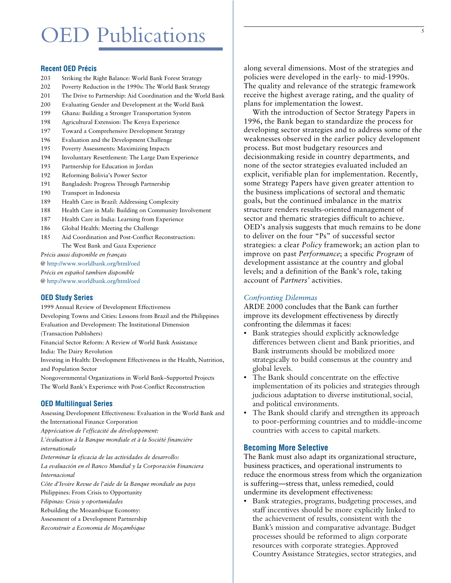# OED Publications

# **Recent OED Précis**

- 203 Striking the Right Balance: World Bank Forest Strategy
- 202 Poverty Reduction in the 1990s: The World Bank Strategy
- 201 The Drive to Partnership: Aid Coordination and the World Bank
- 200 Evaluating Gender and Development at the World Bank
- 199 Ghana: Building a Stronger Transportation System
- 198 Agricultural Extension: The Kenya Experience
- 197 Toward a Comprehensive Development Strategy
- 196 Evaluation and the Development Challenge
- 195 Poverty Assessments: Maximizing Impacts
- 194 Involuntary Resettlement: The Large Dam Experience
- 193 Partnership for Education in Jordan
- 192 Reforming Bolivia's Power Sector
- 191 Bangladesh: Progress Through Partnership
- 190 Transport in Indonesia
- 189 Health Care in Brazil: Addressing Complexity
- 188 Health Care in Mali: Building on Community Involvement
- 187 Health Care in India: Learning from Experience
- 186 Global Health: Meeting the Challenge
- 185 Aid Coordination and Post-Conflict Reconstruction: The West Bank and Gaza Experience

*Précis aussi disponible en français*  @ http://www.worldbank.org/html/oed *Précis en español tambien disponible*  @ http://www.worldbank.org/html/oed

#### **OED Study Series**

1999 Annual Review of Development Effectiveness Developing Towns and Cities: Lessons from Brazil and the Philippines Evaluation and Development: The Institutional Dimension (Transaction Publishers) Financial Sector Reform: A Review of World Bank Assistance India: The Dairy Revolution Investing in Health: Development Effectiveness in the Health, Nutrition, and Population Sector Nongovernmental Organizations in World Bank–Supported Projects The World Bank's Experience with Post-Conflict Reconstruction

#### **OED Multilingual Series**

Assessing Development Effectiveness: Evaluation in the World Bank and the International Finance Corporation *Appréciation de l'efficacité du développement: L'évaluation à la Banque mondiale et à la Société financiére internationale Determinar la eficacia de las actividades de desarrollo: La evaluación en el Banco Mundial y la Corporación Financiera Internacional Côte d'Ivoire Revue de l'aide de la Banque mondiale au pays* Philippines: From Crisis to Opportunity *Filipinas: Crisis y oportunidades* Rebuilding the Mozambique Economy:

Assessment of a Development Partnership

*Reconstruir a Economia de Moçambique*

along several dimensions. Most of the strategies and policies were developed in the early- to mid-1990s. The quality and relevance of the strategic framework receive the highest average rating, and the quality of plans for implementation the lowest.

With the introduction of Sector Strategy Papers in 1996, the Bank began to standardize the process for developing sector strategies and to address some of the weaknesses observed in the earlier policy development process. But most budgetary resources and decisionmaking reside in country departments, and none of the sector strategies evaluated included an explicit, verifiable plan for implementation. Recently, some Strategy Papers have given greater attention to the business implications of sectoral and thematic goals, but the continued imbalance in the matrix structure renders results-oriented management of sector and thematic strategies difficult to achieve. OED's analysis suggests that much remains to be done to deliver on the four "Ps" of successful sector strategies: a clear *Policy* framework; an action plan to improve on past *Performance*; a specific *Program* of development assistance at the country and global levels; and a definition of the Bank's role, taking account of *Partners'* activities.

#### *Confronting Dilemmas*

ARDE 2000 concludes that the Bank can further improve its development effectiveness by directly confronting the dilemmas it faces:

- Bank strategies should explicitly acknowledge differences between client and Bank priorities, and Bank instruments should be mobilized more strategically to build consensus at the country and global levels.
- The Bank should concentrate on the effective implementation of its policies and strategies through judicious adaptation to diverse institutional, social, and political environments.
- The Bank should clarify and strengthen its approach to poor-performing countries and to middle-income countries with access to capital markets.

#### **Becoming More Selective**

The Bank must also adapt its organizational structure, business practices, and operational instruments to reduce the enormous stress from which the organization is suffering—stress that, unless remedied, could undermine its development effectiveness:

• Bank strategies, programs, budgeting processes, and staff incentives should be more explicitly linked to the achievement of results, consistent with the Bank's mission and comparative advantage. Budget processes should be reformed to align corporate resources with corporate strategies.Approved Country Assistance Strategies, sector strategies, and